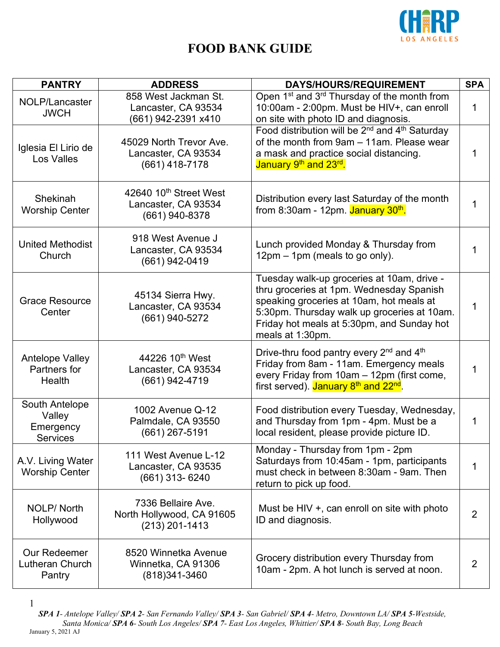

| <b>PANTRY</b>                                            | <b>ADDRESS</b>                                                              | DAYS/HOURS/REQUIREMENT                                                                                                                                                                                                                              | <b>SPA</b>  |
|----------------------------------------------------------|-----------------------------------------------------------------------------|-----------------------------------------------------------------------------------------------------------------------------------------------------------------------------------------------------------------------------------------------------|-------------|
| NOLP/Lancaster<br><b>JWCH</b>                            | 858 West Jackman St.<br>Lancaster, CA 93534<br>(661) 942-2391 x410          | Open 1 <sup>st</sup> and 3 <sup>rd</sup> Thursday of the month from<br>10:00am - 2:00pm. Must be HIV+, can enroll<br>on site with photo ID and diagnosis.                                                                                           | $\mathbf 1$ |
| Iglesia El Lirio de<br>Los Valles                        | 45029 North Trevor Ave.<br>Lancaster, CA 93534<br>$(661)$ 418-7178          | Food distribution will be 2 <sup>nd</sup> and 4 <sup>th</sup> Saturday<br>of the month from 9am - 11am. Please wear<br>a mask and practice social distancing.<br>January 9th and 23rd.                                                              | $\mathbf 1$ |
| Shekinah<br><b>Worship Center</b>                        | 42640 10 <sup>th</sup> Street West<br>Lancaster, CA 93534<br>(661) 940-8378 | Distribution every last Saturday of the month<br>from 8:30am - 12pm. January 30 <sup>th</sup> .                                                                                                                                                     | $\mathbf 1$ |
| <b>United Methodist</b><br>Church                        | 918 West Avenue J<br>Lancaster, CA 93534<br>(661) 942-0419                  | Lunch provided Monday & Thursday from<br>12pm – 1pm (meals to go only).                                                                                                                                                                             | $\mathbf 1$ |
| <b>Grace Resource</b><br>Center                          | 45134 Sierra Hwy.<br>Lancaster, CA 93534<br>(661) 940-5272                  | Tuesday walk-up groceries at 10am, drive -<br>thru groceries at 1pm. Wednesday Spanish<br>speaking groceries at 10am, hot meals at<br>5:30pm. Thursday walk up groceries at 10am.<br>Friday hot meals at 5:30pm, and Sunday hot<br>meals at 1:30pm. | $\mathbf 1$ |
| <b>Antelope Valley</b><br>Partners for<br><b>Health</b>  | 44226 10 <sup>th</sup> West<br>Lancaster, CA 93534<br>(661) 942-4719        | Drive-thru food pantry every 2 <sup>nd</sup> and 4 <sup>th</sup><br>Friday from 8am - 11am. Emergency meals<br>every Friday from 10am - 12pm (first come,<br>first served). January 8 <sup>th</sup> and 22 <sup>nd</sup> .                          | 1           |
| South Antelope<br>Valley<br>Emergency<br><b>Services</b> | 1002 Avenue Q-12<br>Palmdale, CA 93550<br>$(661)$ 267-5191                  | Food distribution every Tuesday, Wednesday,<br>and Thursday from 1pm - 4pm. Must be a<br>local resident, please provide picture ID.                                                                                                                 | 1           |
| A.V. Living Water<br><b>Worship Center</b>               | 111 West Avenue L-12<br>Lancaster, CA 93535<br>(661) 313-6240               | Monday - Thursday from 1pm - 2pm<br>Saturdays from 10:45am - 1pm, participants<br>must check in between 8:30am - 9am. Then<br>return to pick up food.                                                                                               | 1           |
| NOLP/North<br>Hollywood                                  | 7336 Bellaire Ave.<br>North Hollywood, CA 91605<br>$(213)$ 201-1413         | Must be HIV +, can enroll on site with photo<br>ID and diagnosis.                                                                                                                                                                                   | 2           |
| Our Redeemer<br>Lutheran Church<br>Pantry                | 8520 Winnetka Avenue<br>Winnetka, CA 91306<br>$(818)341 - 3460$             | Grocery distribution every Thursday from<br>10am - 2pm. A hot lunch is served at noon.                                                                                                                                                              | 2           |

<sup>1</sup>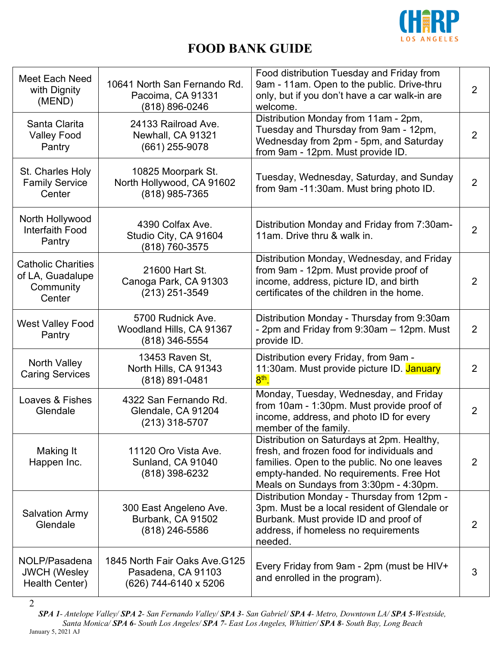

| Meet Each Need<br>with Dignity<br>(MEND)                             | 10641 North San Fernando Rd.<br>Pacoima, CA 91331<br>(818) 896-0246           | Food distribution Tuesday and Friday from<br>9am - 11am. Open to the public. Drive-thru<br>only, but if you don't have a car walk-in are<br>welcome.                                                                         | $\overline{2}$ |
|----------------------------------------------------------------------|-------------------------------------------------------------------------------|------------------------------------------------------------------------------------------------------------------------------------------------------------------------------------------------------------------------------|----------------|
| Santa Clarita<br><b>Valley Food</b><br>Pantry                        | 24133 Railroad Ave.<br>Newhall, CA 91321<br>(661) 255-9078                    | Distribution Monday from 11am - 2pm,<br>Tuesday and Thursday from 9am - 12pm,<br>Wednesday from 2pm - 5pm, and Saturday<br>from 9am - 12pm. Must provide ID.                                                                 | 2              |
| St. Charles Holy<br><b>Family Service</b><br>Center                  | 10825 Moorpark St.<br>North Hollywood, CA 91602<br>(818) 985-7365             | Tuesday, Wednesday, Saturday, and Sunday<br>from 9am -11:30am. Must bring photo ID.                                                                                                                                          | 2              |
| North Hollywood<br><b>Interfaith Food</b><br>Pantry                  | 4390 Colfax Ave.<br>Studio City, CA 91604<br>(818) 760-3575                   | Distribution Monday and Friday from 7:30am-<br>11am. Drive thru & walk in.                                                                                                                                                   | $\overline{2}$ |
| <b>Catholic Charities</b><br>of LA, Guadalupe<br>Community<br>Center | 21600 Hart St.<br>Canoga Park, CA 91303<br>(213) 251-3549                     | Distribution Monday, Wednesday, and Friday<br>from 9am - 12pm. Must provide proof of<br>income, address, picture ID, and birth<br>certificates of the children in the home.                                                  | 2              |
| <b>West Valley Food</b><br>Pantry                                    | 5700 Rudnick Ave.<br>Woodland Hills, CA 91367<br>(818) 346-5554               | Distribution Monday - Thursday from 9:30am<br>- 2pm and Friday from 9:30am - 12pm. Must<br>provide ID.                                                                                                                       | 2              |
| <b>North Valley</b><br><b>Caring Services</b>                        | 13453 Raven St,<br>North Hills, CA 91343<br>(818) 891-0481                    | Distribution every Friday, from 9am -<br>11:30am. Must provide picture ID. January<br>$8th$ .                                                                                                                                | 2              |
| Loaves & Fishes<br>Glendale                                          | 4322 San Fernando Rd.<br>Glendale, CA 91204<br>$(213)$ 318-5707               | Monday, Tuesday, Wednesday, and Friday<br>from 10am - 1:30pm. Must provide proof of<br>income, address, and photo ID for every<br>member of the family.                                                                      | $\overline{2}$ |
| Making It<br>Happen Inc.                                             | 11120 Oro Vista Ave.<br>Sunland, CA 91040<br>(818) 398-6232                   | Distribution on Saturdays at 2pm. Healthy,<br>fresh, and frozen food for individuals and<br>families. Open to the public. No one leaves<br>empty-handed. No requirements. Free Hot<br>Meals on Sundays from 3:30pm - 4:30pm. | 2              |
| <b>Salvation Army</b><br>Glendale                                    | 300 East Angeleno Ave.<br>Burbank, CA 91502<br>(818) 246-5586                 | Distribution Monday - Thursday from 12pm -<br>3pm. Must be a local resident of Glendale or<br>Burbank. Must provide ID and proof of<br>address, if homeless no requirements<br>needed.                                       | 2              |
| NOLP/Pasadena<br><b>JWCH (Wesley</b><br>Health Center)               | 1845 North Fair Oaks Ave. G125<br>Pasadena, CA 91103<br>(626) 744-6140 x 5206 | Every Friday from 9am - 2pm (must be HIV+<br>and enrolled in the program).                                                                                                                                                   | 3              |

*SPA 1- Antelope Valley/ SPA 2- San Fernando Valley/ SPA 3- San Gabriel/ SPA 4- Metro, Downtown LA/ SPA 5-Westside, Santa Monica/ SPA 6- South Los Angeles/ SPA 7- East Los Angeles, Whittier/ SPA 8- South Bay, Long Beach* January 5, 2021 AJ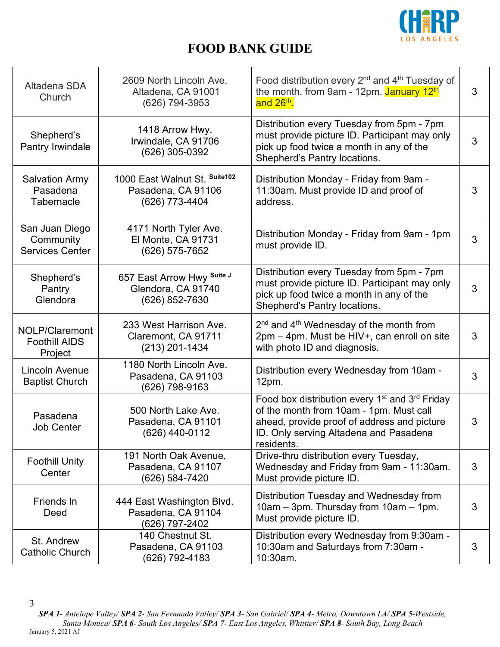

| Altadena SDA<br>Church                                | 2609 North Lincoln Ave.<br>Altadena, CA 91001<br>(626) 794-3953       | Food distribution every 2 <sup>nd</sup> and 4 <sup>th</sup> Tuesday of<br>the month, from 9am - 12pm. January 12th<br>and 26 <sup>th</sup> .                                                                             | 3 |
|-------------------------------------------------------|-----------------------------------------------------------------------|--------------------------------------------------------------------------------------------------------------------------------------------------------------------------------------------------------------------------|---|
| Shepherd's<br>Pantry Irwindale                        | 1418 Arrow Hwy.<br>Irwindale, CA 91706<br>(626) 305-0392              | Distribution every Tuesday from 5pm - 7pm<br>must provide picture ID. Participant may only<br>pick up food twice a month in any of the<br>Shepherd's Pantry locations.                                                   | 3 |
| <b>Salvation Army</b><br>Pasadena<br>Tabernacle       | 1000 East Walnut St. Suite102<br>Pasadena, CA 91106<br>(626) 773-4404 | Distribution Monday - Friday from 9am -<br>11:30am. Must provide ID and proof of<br>address.                                                                                                                             | 3 |
| San Juan Diego<br>Community<br><b>Services Center</b> | 4171 North Tyler Ave.<br>El Monte, CA 91731<br>(626) 575-7652         | Distribution Monday - Friday from 9am - 1pm<br>must provide ID.                                                                                                                                                          | 3 |
| Shepherd's<br>Pantry<br>Glendora                      | 657 East Arrow Hwy Suite J<br>Glendora, CA 91740<br>(626) 852-7630    | Distribution every Tuesday from 5pm - 7pm<br>must provide picture ID. Participant may only<br>pick up food twice a month in any of the<br>Shepherd's Pantry locations.                                                   | 3 |
| NOLP/Claremont<br><b>Foothill AIDS</b><br>Project     | 233 West Harrison Ave.<br>Claremont, CA 91711<br>(213) 201-1434       | 2 <sup>nd</sup> and 4 <sup>th</sup> Wednesday of the month from<br>2pm – 4pm. Must be HIV+, can enroll on site<br>with photo ID and diagnosis.                                                                           | 3 |
| Lincoln Avenue<br><b>Baptist Church</b>               | 1180 North Lincoln Ave.<br>Pasadena, CA 91103<br>(626) 798-9163       | Distribution every Wednesday from 10am -<br>$12pm$ .                                                                                                                                                                     | 3 |
| Pasadena<br><b>Job Center</b>                         | 500 North Lake Ave.<br>Pasadena, CA 91101<br>(626) 440-0112           | Food box distribution every 1 <sup>st</sup> and 3 <sup>rd</sup> Friday<br>of the month from 10am - 1pm. Must call<br>ahead, provide proof of address and picture<br>ID. Only serving Altadena and Pasadena<br>residents. | 3 |
| <b>Foothill Unity</b><br>Center                       | 191 North Oak Avenue,<br>Pasadena, CA 91107<br>(626) 584-7420         | Drive-thru distribution every Tuesday,<br>Wednesday and Friday from 9am - 11:30am.<br>Must provide picture ID.                                                                                                           | 3 |
| Friends In<br>Deed                                    | 444 East Washington Blvd.<br>Pasadena, CA 91104<br>(626) 797-2402     | Distribution Tuesday and Wednesday from<br>10am – 3pm. Thursday from 10am – 1pm.<br>Must provide picture ID.                                                                                                             | 3 |
| St. Andrew<br>Catholic Church                         | 140 Chestnut St.<br>Pasadena, CA 91103<br>(626) 792-4183              | Distribution every Wednesday from 9:30am -<br>10:30am and Saturdays from 7:30am -<br>10:30am.                                                                                                                            | 3 |

<sup>3</sup> *SPA 1- Antelope Valley/ SPA 2- San Fernando Valley/ SPA 3- San Gabriel/ SPA 4- Metro, Downtown LA/ SPA 5-Westside, Santa Monica/ SPA 6- South Los Angeles/ SPA 7- East Los Angeles, Whittier/ SPA 8- South Bay, Long Beach* January 5, 2021 AJ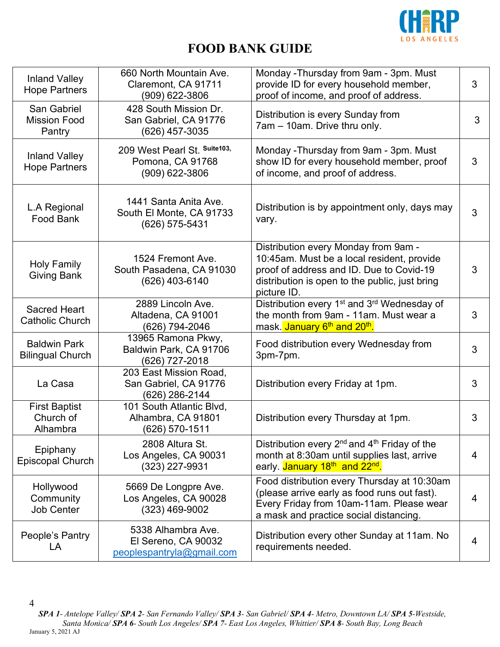

| <b>Inland Valley</b><br><b>Hope Partners</b>   | 660 North Mountain Ave.<br>Claremont, CA 91711<br>(909) 622-3806       | Monday - Thursday from 9am - 3pm. Must<br>provide ID for every household member,<br>proof of income, and proof of address.                                                                      | 3 |
|------------------------------------------------|------------------------------------------------------------------------|-------------------------------------------------------------------------------------------------------------------------------------------------------------------------------------------------|---|
| San Gabriel<br><b>Mission Food</b><br>Pantry   | 428 South Mission Dr.<br>San Gabriel, CA 91776<br>(626) 457-3035       | Distribution is every Sunday from<br>7am - 10am. Drive thru only.                                                                                                                               | 3 |
| <b>Inland Valley</b><br><b>Hope Partners</b>   | 209 West Pearl St. Suite103,<br>Pomona, CA 91768<br>(909) 622-3806     | Monday - Thursday from 9am - 3pm. Must<br>show ID for every household member, proof<br>of income, and proof of address.                                                                         | 3 |
| L.A Regional<br>Food Bank                      | 1441 Santa Anita Ave.<br>South El Monte, CA 91733<br>(626) 575-5431    | Distribution is by appointment only, days may<br>vary.                                                                                                                                          | 3 |
| <b>Holy Family</b><br><b>Giving Bank</b>       | 1524 Fremont Ave.<br>South Pasadena, CA 91030<br>(626) 403-6140        | Distribution every Monday from 9am -<br>10:45am. Must be a local resident, provide<br>proof of address and ID. Due to Covid-19<br>distribution is open to the public, just bring<br>picture ID. | 3 |
| <b>Sacred Heart</b><br><b>Catholic Church</b>  | 2889 Lincoln Ave.<br>Altadena, CA 91001<br>(626) 794-2046              | Distribution every 1 <sup>st</sup> and 3 <sup>rd</sup> Wednesday of<br>the month from 9am - 11am. Must wear a<br>mask. January 6 <sup>th</sup> and 20 <sup>th</sup> .                           | 3 |
| <b>Baldwin Park</b><br><b>Bilingual Church</b> | 13965 Ramona Pkwy,<br>Baldwin Park, CA 91706<br>(626) 727-2018         | Food distribution every Wednesday from<br>3pm-7pm.                                                                                                                                              | 3 |
| La Casa                                        | 203 East Mission Road,<br>San Gabriel, CA 91776<br>(626) 286-2144      | Distribution every Friday at 1pm.                                                                                                                                                               | 3 |
| <b>First Baptist</b><br>Church of<br>Alhambra  | 101 South Atlantic Blvd,<br>Alhambra, CA 91801<br>$(626)$ 570-1511     | Distribution every Thursday at 1pm.                                                                                                                                                             | 3 |
| Epiphany<br><b>Episcopal Church</b>            | 2808 Altura St.<br>Los Angeles, CA 90031<br>(323) 227-9931             | Distribution every 2 <sup>nd</sup> and 4 <sup>th</sup> Friday of the<br>month at 8:30am until supplies last, arrive<br>early. January 18th and 22 <sup>nd</sup> .                               | 4 |
| Hollywood<br>Community<br><b>Job Center</b>    | 5669 De Longpre Ave.<br>Los Angeles, CA 90028<br>$(323)$ 469-9002      | Food distribution every Thursday at 10:30am<br>(please arrive early as food runs out fast).<br>Every Friday from 10am-11am. Please wear<br>a mask and practice social distancing.               | 4 |
| People's Pantry<br>LA                          | 5338 Alhambra Ave.<br>El Sereno, CA 90032<br>peoplespantryla@gmail.com | Distribution every other Sunday at 11am. No<br>requirements needed.                                                                                                                             | 4 |

*SPA 1- Antelope Valley/ SPA 2- San Fernando Valley/ SPA 3- San Gabriel/ SPA 4- Metro, Downtown LA/ SPA 5-Westside, Santa Monica/ SPA 6- South Los Angeles/ SPA 7- East Los Angeles, Whittier/ SPA 8- South Bay, Long Beach* January 5, 2021 AJ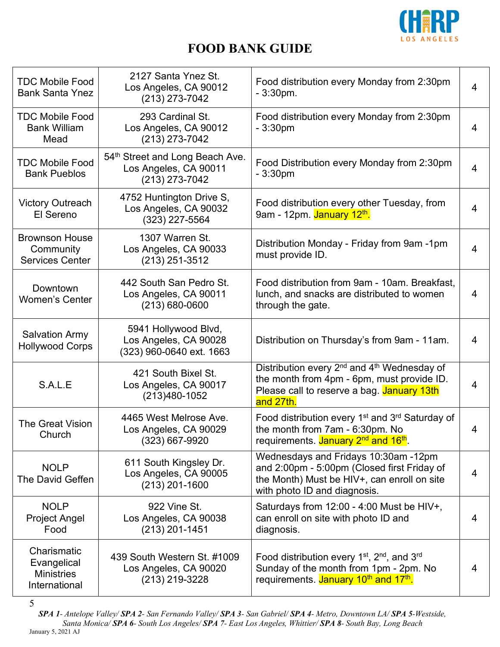

| <b>TDC Mobile Food</b><br><b>Bank Santa Ynez</b>                 | 2127 Santa Ynez St.<br>Los Angeles, CA 90012<br>(213) 273-7042             | Food distribution every Monday from 2:30pm<br>$-3:30$ pm.                                                                                                                    | 4              |
|------------------------------------------------------------------|----------------------------------------------------------------------------|------------------------------------------------------------------------------------------------------------------------------------------------------------------------------|----------------|
| <b>TDC Mobile Food</b><br><b>Bank William</b><br>Mead            | 293 Cardinal St.<br>Los Angeles, CA 90012<br>$(213)$ 273-7042              | Food distribution every Monday from 2:30pm<br>$-3:30pm$                                                                                                                      | 4              |
| <b>TDC Mobile Food</b><br><b>Bank Pueblos</b>                    | 54th Street and Long Beach Ave.<br>Los Angeles, CA 90011<br>(213) 273-7042 | Food Distribution every Monday from 2:30pm<br>$-3:30pm$                                                                                                                      | 4              |
| <b>Victory Outreach</b><br>El Sereno                             | 4752 Huntington Drive S,<br>Los Angeles, CA 90032<br>(323) 227-5564        | Food distribution every other Tuesday, from<br>9am - 12pm. January 12 <sup>th</sup> .                                                                                        | $\overline{4}$ |
| <b>Brownson House</b><br>Community<br><b>Services Center</b>     | 1307 Warren St.<br>Los Angeles, CA 90033<br>(213) 251-3512                 | Distribution Monday - Friday from 9am -1pm<br>must provide ID.                                                                                                               | 4              |
| Downtown<br><b>Women's Center</b>                                | 442 South San Pedro St.<br>Los Angeles, CA 90011<br>$(213) 680 - 0600$     | Food distribution from 9am - 10am. Breakfast,<br>lunch, and snacks are distributed to women<br>through the gate.                                                             | 4              |
| <b>Salvation Army</b><br><b>Hollywood Corps</b>                  | 5941 Hollywood Blvd,<br>Los Angeles, CA 90028<br>(323) 960-0640 ext. 1663  | Distribution on Thursday's from 9am - 11am.                                                                                                                                  | 4              |
| S.A.L.E                                                          | 421 South Bixel St.<br>Los Angeles, CA 90017<br>(213)480-1052              | Distribution every 2 <sup>nd</sup> and 4 <sup>th</sup> Wednesday of<br>the month from 4pm - 6pm, must provide ID.<br>Please call to reserve a bag. January 13th<br>and 27th. | 4              |
| The Great Vision<br>Church                                       | 4465 West Melrose Ave.<br>Los Angeles, CA 90029<br>(323) 667-9920          | Food distribution every 1 <sup>st</sup> and 3 <sup>rd</sup> Saturday of<br>the month from 7am - 6:30pm. No<br>requirements. January 2 <sup>nd</sup> and 16 <sup>th</sup> .   | 4              |
| <b>NOLP</b><br>The David Geffen                                  | 611 South Kingsley Dr.<br>Los Angeles, CA 90005<br>$(213)$ 201-1600        | Wednesdays and Fridays 10:30am -12pm<br>and 2:00pm - 5:00pm (Closed first Friday of<br>the Month) Must be HIV+, can enroll on site<br>with photo ID and diagnosis.           | 4              |
| <b>NOLP</b><br><b>Project Angel</b><br>Food                      | 922 Vine St.<br>Los Angeles, CA 90038<br>(213) 201-1451                    | Saturdays from $12:00 - 4:00$ Must be HIV+,<br>can enroll on site with photo ID and<br>diagnosis.                                                                            | 4              |
| Charismatic<br>Evangelical<br><b>Ministries</b><br>International | 439 South Western St. #1009<br>Los Angeles, CA 90020<br>(213) 219-3228     | Food distribution every $1st$ , $2nd$ , and $3rd$<br>Sunday of the month from 1pm - 2pm. No<br>requirements. January 10 <sup>th</sup> and 17 <sup>th</sup> .                 | 4              |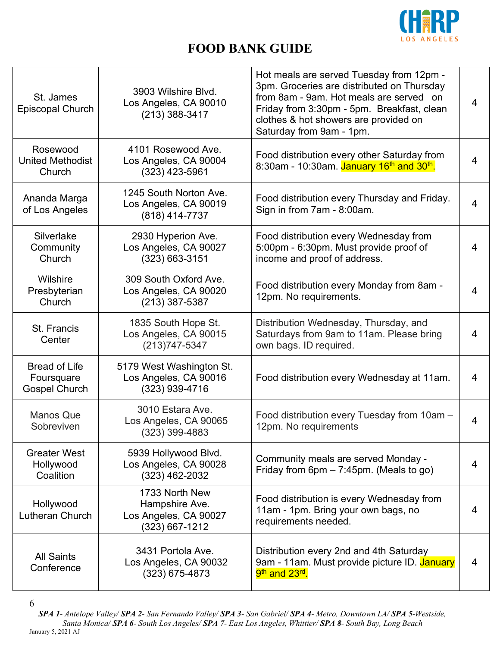

| St. James<br><b>Episcopal Church</b>                       | 3903 Wilshire Blvd.<br>Los Angeles, CA 90010<br>$(213)$ 388-3417            | Hot meals are served Tuesday from 12pm -<br>3pm. Groceries are distributed on Thursday<br>from 8am - 9am. Hot meals are served on<br>Friday from 3:30pm - 5pm. Breakfast, clean<br>clothes & hot showers are provided on<br>Saturday from 9am - 1pm. | $\overline{4}$ |
|------------------------------------------------------------|-----------------------------------------------------------------------------|------------------------------------------------------------------------------------------------------------------------------------------------------------------------------------------------------------------------------------------------------|----------------|
| Rosewood<br><b>United Methodist</b><br>Church              | 4101 Rosewood Ave.<br>Los Angeles, CA 90004<br>(323) 423-5961               | Food distribution every other Saturday from<br>8:30am - 10:30am. January 16 <sup>th</sup> and 30 <sup>th</sup> .                                                                                                                                     | 4              |
| Ananda Marga<br>of Los Angeles                             | 1245 South Norton Ave.<br>Los Angeles, CA 90019<br>(818) 414-7737           | Food distribution every Thursday and Friday.<br>Sign in from 7am - 8:00am.                                                                                                                                                                           | 4              |
| Silverlake<br>Community<br>Church                          | 2930 Hyperion Ave.<br>Los Angeles, CA 90027<br>$(323) 663 - 3151$           | Food distribution every Wednesday from<br>5:00pm - 6:30pm. Must provide proof of<br>income and proof of address.                                                                                                                                     | 4              |
| Wilshire<br>Presbyterian<br>Church                         | 309 South Oxford Ave.<br>Los Angeles, CA 90020<br>$(213)$ 387-5387          | Food distribution every Monday from 8am -<br>12pm. No requirements.                                                                                                                                                                                  | 4              |
| St. Francis<br>Center                                      | 1835 South Hope St.<br>Los Angeles, CA 90015<br>$(213)747 - 5347$           | Distribution Wednesday, Thursday, and<br>Saturdays from 9am to 11am. Please bring<br>own bags. ID required.                                                                                                                                          | 4              |
| <b>Bread of Life</b><br>Foursquare<br><b>Gospel Church</b> | 5179 West Washington St.<br>Los Angeles, CA 90016<br>(323) 939-4716         | Food distribution every Wednesday at 11am.                                                                                                                                                                                                           | 4              |
| <b>Manos Que</b><br>Sobreviven                             | 3010 Estara Ave.<br>Los Angeles, CA 90065<br>$(323)$ 399-4883               | Food distribution every Tuesday from 10am -<br>12pm. No requirements                                                                                                                                                                                 | 4              |
| <b>Greater West</b><br>Hollywood<br>Coalition              | 5939 Hollywood Blvd.<br>Los Angeles, CA 90028<br>(323) 462-2032             | Community meals are served Monday -<br>Friday from $6pm - 7:45pm$ . (Meals to go)                                                                                                                                                                    | 4              |
| Hollywood<br>Lutheran Church                               | 1733 North New<br>Hampshire Ave.<br>Los Angeles, CA 90027<br>(323) 667-1212 | Food distribution is every Wednesday from<br>11am - 1pm. Bring your own bags, no<br>requirements needed.                                                                                                                                             | 4              |
| <b>All Saints</b><br>Conference                            | 3431 Portola Ave.<br>Los Angeles, CA 90032<br>$(323)$ 675-4873              | Distribution every 2nd and 4th Saturday<br>9am - 11am. Must provide picture ID. January<br>9 <sup>th</sup> and 23 <sup>rd</sup> .                                                                                                                    | 4              |

<sup>6</sup>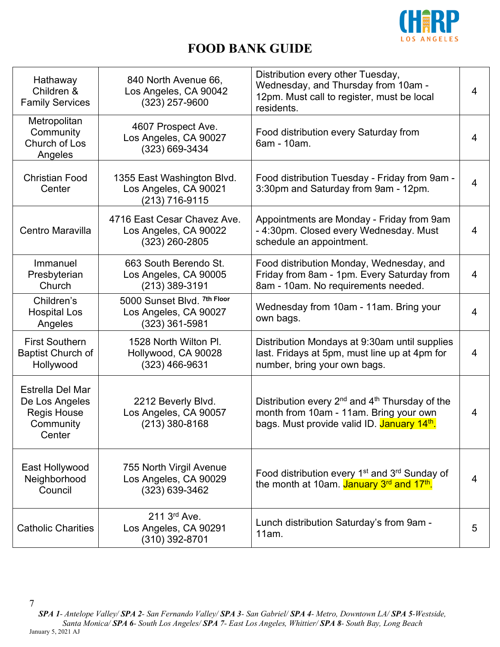

| Hathaway<br>Children &<br><b>Family Services</b>                                | 840 North Avenue 66,<br>Los Angeles, CA 90042<br>$(323)$ 257-9600        | Distribution every other Tuesday,<br>Wednesday, and Thursday from 10am -<br>12pm. Must call to register, must be local<br>residents.                          | 4 |
|---------------------------------------------------------------------------------|--------------------------------------------------------------------------|---------------------------------------------------------------------------------------------------------------------------------------------------------------|---|
| Metropolitan<br>Community<br>Church of Los<br>Angeles                           | 4607 Prospect Ave.<br>Los Angeles, CA 90027<br>(323) 669-3434            | Food distribution every Saturday from<br>6am - 10am.                                                                                                          | 4 |
| <b>Christian Food</b><br>Center                                                 | 1355 East Washington Blvd.<br>Los Angeles, CA 90021<br>(213) 716-9115    | Food distribution Tuesday - Friday from 9am -<br>3:30pm and Saturday from 9am - 12pm.                                                                         | 4 |
| Centro Maravilla                                                                | 4716 East Cesar Chavez Ave.<br>Los Angeles, CA 90022<br>$(323)$ 260-2805 | Appointments are Monday - Friday from 9am<br>- 4:30pm. Closed every Wednesday. Must<br>schedule an appointment.                                               | 4 |
| Immanuel<br>Presbyterian<br>Church                                              | 663 South Berendo St.<br>Los Angeles, CA 90005<br>$(213)$ 389-3191       | Food distribution Monday, Wednesday, and<br>Friday from 8am - 1pm. Every Saturday from<br>8am - 10am. No requirements needed.                                 | 4 |
| Children's<br><b>Hospital Los</b><br>Angeles                                    | 5000 Sunset Blvd. 7th Floor<br>Los Angeles, CA 90027<br>(323) 361-5981   | Wednesday from 10am - 11am. Bring your<br>own bags.                                                                                                           | 4 |
| <b>First Southern</b><br><b>Baptist Church of</b><br>Hollywood                  | 1528 North Wilton Pl.<br>Hollywood, CA 90028<br>(323) 466-9631           | Distribution Mondays at 9:30am until supplies<br>last. Fridays at 5pm, must line up at 4pm for<br>number, bring your own bags.                                | 4 |
| Estrella Del Mar<br>De Los Angeles<br><b>Regis House</b><br>Community<br>Center | 2212 Beverly Blvd.<br>Los Angeles, CA 90057<br>$(213)$ 380-8168          | Distribution every $2^{nd}$ and $4^{th}$ Thursday of the<br>month from 10am - 11am. Bring your own<br>bags. Must provide valid ID. January 14 <sup>th</sup> . | 4 |
| East Hollywood<br>Neighborhood<br>Council                                       | 755 North Virgil Avenue<br>Los Angeles, CA 90029<br>(323) 639-3462       | Food distribution every 1 <sup>st</sup> and 3 <sup>rd</sup> Sunday of<br>the month at 10am. January 3rd and 17th.                                             | 4 |
| <b>Catholic Charities</b>                                                       | 211 3rd Ave.<br>Los Angeles, CA 90291<br>(310) 392-8701                  | Lunch distribution Saturday's from 9am -<br>11am.                                                                                                             | 5 |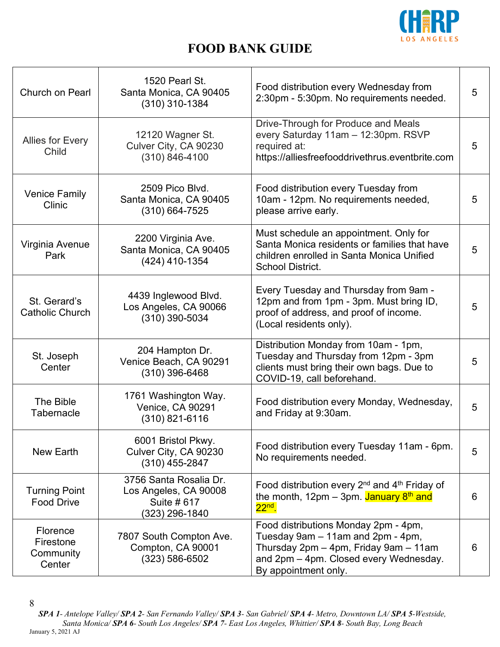

| Church on Pearl                              | 1520 Pearl St.<br>Santa Monica, CA 90405<br>$(310)$ 310-1384                     | Food distribution every Wednesday from<br>2:30pm - 5:30pm. No requirements needed.                                                                                                   | 5 |
|----------------------------------------------|----------------------------------------------------------------------------------|--------------------------------------------------------------------------------------------------------------------------------------------------------------------------------------|---|
| <b>Allies for Every</b><br>Child             | 12120 Wagner St.<br>Culver City, CA 90230<br>$(310) 846 - 4100$                  | Drive-Through for Produce and Meals<br>every Saturday 11am - 12:30pm. RSVP<br>required at:<br>https://alliesfreefooddrivethrus.eventbrite.com                                        | 5 |
| <b>Venice Family</b><br>Clinic               | 2509 Pico Blvd.<br>Santa Monica, CA 90405<br>$(310) 664 - 7525$                  | Food distribution every Tuesday from<br>10am - 12pm. No requirements needed,<br>please arrive early.                                                                                 | 5 |
| Virginia Avenue<br>Park                      | 2200 Virginia Ave.<br>Santa Monica, CA 90405<br>(424) 410-1354                   | Must schedule an appointment. Only for<br>Santa Monica residents or families that have<br>children enrolled in Santa Monica Unified<br><b>School District.</b>                       | 5 |
| St. Gerard's<br><b>Catholic Church</b>       | 4439 Inglewood Blvd.<br>Los Angeles, CA 90066<br>(310) 390-5034                  | Every Tuesday and Thursday from 9am -<br>12pm and from 1pm - 3pm. Must bring ID,<br>proof of address, and proof of income.<br>(Local residents only).                                | 5 |
| St. Joseph<br>Center                         | 204 Hampton Dr.<br>Venice Beach, CA 90291<br>$(310)$ 396-6468                    | Distribution Monday from 10am - 1pm,<br>Tuesday and Thursday from 12pm - 3pm<br>clients must bring their own bags. Due to<br>COVID-19, call beforehand.                              | 5 |
| The Bible<br>Tabernacle                      | 1761 Washington Way.<br>Venice, CA 90291<br>$(310)$ 821-6116                     | Food distribution every Monday, Wednesday,<br>and Friday at 9:30am.                                                                                                                  | 5 |
| New Earth                                    | 6001 Bristol Pkwy.<br>Culver City, CA 90230<br>$(310)$ 455-2847                  | Food distribution every Tuesday 11am - 6pm.<br>No requirements needed.                                                                                                               | 5 |
| <b>Turning Point</b><br><b>Food Drive</b>    | 3756 Santa Rosalia Dr.<br>Los Angeles, CA 90008<br>Suite # 617<br>(323) 296-1840 | Food distribution every 2 <sup>nd</sup> and 4 <sup>th</sup> Friday of<br>the month, 12pm – 3pm. January $8th$ and<br>$22nd$ .                                                        | 6 |
| Florence<br>Firestone<br>Community<br>Center | 7807 South Compton Ave.<br>Compton, CA 90001<br>$(323) 586 - 6502$               | Food distributions Monday 2pm - 4pm,<br>Tuesday 9am - 11am and 2pm - 4pm,<br>Thursday 2pm - 4pm, Friday 9am - 11am<br>and 2pm - 4pm. Closed every Wednesday.<br>By appointment only. | 6 |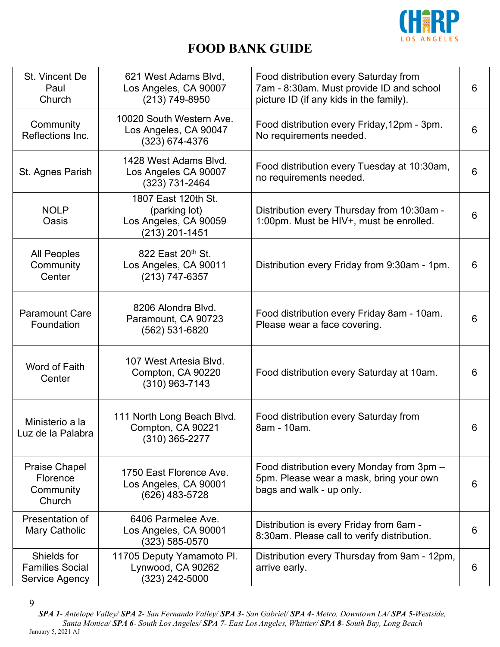

| St. Vincent De<br>Paul<br>Church                        | 621 West Adams Blvd,<br>Los Angeles, CA 90007<br>(213) 749-8950                 | Food distribution every Saturday from<br>7am - 8:30am. Must provide ID and school<br>picture ID (if any kids in the family). | 6 |
|---------------------------------------------------------|---------------------------------------------------------------------------------|------------------------------------------------------------------------------------------------------------------------------|---|
| Community<br>Reflections Inc.                           | 10020 South Western Ave.<br>Los Angeles, CA 90047<br>$(323) 674 - 4376$         | Food distribution every Friday, 12pm - 3pm.<br>No requirements needed.                                                       | 6 |
| St. Agnes Parish                                        | 1428 West Adams Blvd.<br>Los Angeles CA 90007<br>$(323)$ 731-2464               | Food distribution every Tuesday at 10:30am,<br>no requirements needed.                                                       | 6 |
| <b>NOLP</b><br>Oasis                                    | 1807 East 120th St.<br>(parking lot)<br>Los Angeles, CA 90059<br>(213) 201-1451 | Distribution every Thursday from 10:30am -<br>1:00pm. Must be HIV+, must be enrolled.                                        | 6 |
| <b>All Peoples</b><br>Community<br>Center               | 822 East 20th St.<br>Los Angeles, CA 90011<br>(213) 747-6357                    | Distribution every Friday from 9:30am - 1pm.                                                                                 | 6 |
| <b>Paramount Care</b><br>Foundation                     | 8206 Alondra Blvd.<br>Paramount, CA 90723<br>(562) 531-6820                     | Food distribution every Friday 8am - 10am.<br>Please wear a face covering.                                                   | 6 |
| Word of Faith<br>Center                                 | 107 West Artesia Blvd.<br>Compton, CA 90220<br>$(310)$ 963-7143                 | Food distribution every Saturday at 10am.                                                                                    | 6 |
| Ministerio a la<br>Luz de la Palabra                    | 111 North Long Beach Blvd.<br>Compton, CA 90221<br>$(310)$ 365-2277             | Food distribution every Saturday from<br>8am - 10am.                                                                         | 6 |
| <b>Praise Chapel</b><br>Florence<br>Community<br>Church | 1750 East Florence Ave.<br>Los Angeles, CA 90001<br>(626) 483-5728              | Food distribution every Monday from 3pm -<br>5pm. Please wear a mask, bring your own<br>bags and walk - up only.             | 6 |
| Presentation of<br>Mary Catholic                        | 6406 Parmelee Ave.<br>Los Angeles, CA 90001<br>$(323) 585 - 0570$               | Distribution is every Friday from 6am -<br>8:30am. Please call to verify distribution.                                       | 6 |
| Shields for<br><b>Families Social</b><br>Service Agency | 11705 Deputy Yamamoto Pl.<br>Lynwood, CA 90262<br>(323) 242-5000                | Distribution every Thursday from 9am - 12pm,<br>arrive early.                                                                | 6 |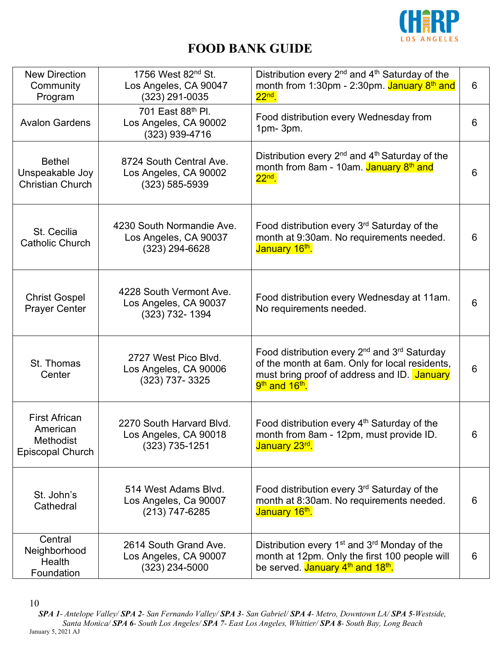

| <b>New Direction</b><br>Community<br>Program                             | 1756 West 82 <sup>nd</sup> St.<br>Los Angeles, CA 90047<br>(323) 291-0035 | Distribution every $2^{nd}$ and $4^{th}$ Saturday of the<br>month from 1:30pm - 2:30pm. January 8 <sup>th</sup> and<br>$22nd$ .                                                                                 | 6 |
|--------------------------------------------------------------------------|---------------------------------------------------------------------------|-----------------------------------------------------------------------------------------------------------------------------------------------------------------------------------------------------------------|---|
| <b>Avalon Gardens</b>                                                    | 701 East 88th Pl.<br>Los Angeles, CA 90002<br>(323) 939-4716              | Food distribution every Wednesday from<br>$1pm-3pm$ .                                                                                                                                                           | 6 |
| <b>Bethel</b><br>Unspeakable Joy<br><b>Christian Church</b>              | 8724 South Central Ave.<br>Los Angeles, CA 90002<br>$(323) 585 - 5939$    | Distribution every $2^{nd}$ and $4^{th}$ Saturday of the<br>month from 8am - 10am. January 8 <sup>th</sup> and<br>$22nd$ .                                                                                      | 6 |
| St. Cecilia<br>Catholic Church                                           | 4230 South Normandie Ave.<br>Los Angeles, CA 90037<br>$(323)$ 294-6628    | Food distribution every 3rd Saturday of the<br>month at 9:30am. No requirements needed.<br>January 16th.                                                                                                        | 6 |
| <b>Christ Gospel</b><br><b>Prayer Center</b>                             | 4228 South Vermont Ave.<br>Los Angeles, CA 90037<br>(323) 732-1394        | Food distribution every Wednesday at 11am.<br>No requirements needed.                                                                                                                                           | 6 |
| St. Thomas<br>Center                                                     | 2727 West Pico Blvd.<br>Los Angeles, CA 90006<br>(323) 737-3325           | Food distribution every 2 <sup>nd</sup> and 3 <sup>rd</sup> Saturday<br>of the month at 6am. Only for local residents,<br>must bring proof of address and ID. January<br>9 <sup>th</sup> and 16 <sup>th</sup> . | 6 |
| <b>First African</b><br>American<br><b>Methodist</b><br>Episcopal Church | 2270 South Harvard Blvd.<br>Los Angeles, CA 90018<br>$(323)$ 735-1251     | Food distribution every 4 <sup>th</sup> Saturday of the<br>month from 8am - 12pm, must provide ID.<br>January 23rd.                                                                                             | 6 |
| St. John's<br>Cathedral                                                  | 514 West Adams Blvd.<br>Los Angeles, Ca 90007<br>(213) 747-6285           | Food distribution every 3 <sup>rd</sup> Saturday of the<br>month at 8:30am. No requirements needed.<br>January 16 <sup>th</sup> .                                                                               | 6 |
| Central<br>Neighborhood<br>Health<br>Foundation                          | 2614 South Grand Ave.<br>Los Angeles, CA 90007<br>(323) 234-5000          | Distribution every $1st$ and $3rd$ Monday of the<br>month at 12pm. Only the first 100 people will<br>be served. January 4 <sup>th</sup> and 18 <sup>th</sup> .                                                  | 6 |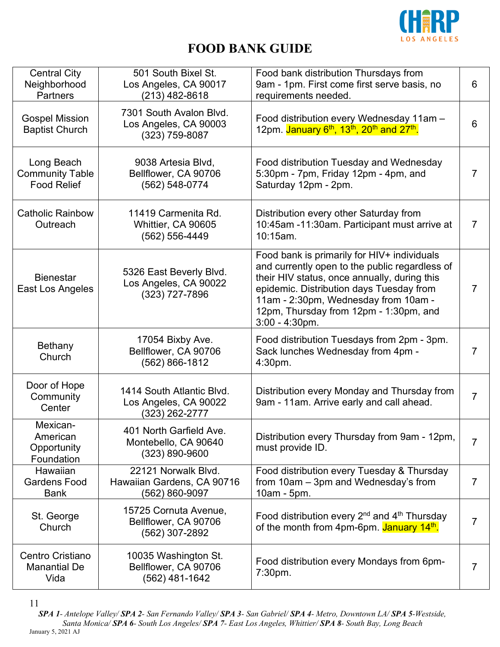

| <b>Central City</b><br>Neighborhood<br><b>Partners</b>     | 501 South Bixel St.<br>Los Angeles, CA 90017<br>(213) 482-8618       | Food bank distribution Thursdays from<br>9am - 1pm. First come first serve basis, no<br>requirements needed.                                                                                                                                                                                     | 6              |
|------------------------------------------------------------|----------------------------------------------------------------------|--------------------------------------------------------------------------------------------------------------------------------------------------------------------------------------------------------------------------------------------------------------------------------------------------|----------------|
| <b>Gospel Mission</b><br><b>Baptist Church</b>             | 7301 South Avalon Blvd.<br>Los Angeles, CA 90003<br>(323) 759-8087   | Food distribution every Wednesday 11am -<br>12pm. January 6 <sup>th</sup> , 13 <sup>th</sup> , 20 <sup>th</sup> and 27 <sup>th</sup> .                                                                                                                                                           | 6              |
| Long Beach<br><b>Community Table</b><br><b>Food Relief</b> | 9038 Artesia Blvd,<br>Bellflower, CA 90706<br>(562) 548-0774         | Food distribution Tuesday and Wednesday<br>5:30pm - 7pm, Friday 12pm - 4pm, and<br>Saturday 12pm - 2pm.                                                                                                                                                                                          | 7              |
| <b>Catholic Rainbow</b><br>Outreach                        | 11419 Carmenita Rd.<br>Whittier, CA 90605<br>(562) 556-4449          | Distribution every other Saturday from<br>10:45am -11:30am. Participant must arrive at<br>10:15am.                                                                                                                                                                                               | $\overline{7}$ |
| <b>Bienestar</b><br>East Los Angeles                       | 5326 East Beverly Blvd.<br>Los Angeles, CA 90022<br>(323) 727-7896   | Food bank is primarily for HIV+ individuals<br>and currently open to the public regardless of<br>their HIV status, once annually, during this<br>epidemic. Distribution days Tuesday from<br>11am - 2:30pm, Wednesday from 10am -<br>12pm, Thursday from 12pm - 1:30pm, and<br>$3:00 - 4:30$ pm. | 7              |
| Bethany<br>Church                                          | 17054 Bixby Ave.<br>Bellflower, CA 90706<br>(562) 866-1812           | Food distribution Tuesdays from 2pm - 3pm.<br>Sack lunches Wednesday from 4pm -<br>4:30pm.                                                                                                                                                                                                       | 7              |
| Door of Hope<br>Community<br>Center                        | 1414 South Atlantic Blvd.<br>Los Angeles, CA 90022<br>(323) 262-2777 | Distribution every Monday and Thursday from<br>9am - 11am. Arrive early and call ahead.                                                                                                                                                                                                          | 7              |
| Mexican-<br>American<br>Opportunity<br>Foundation          | 401 North Garfield Ave<br>Montebello, CA 90640<br>(323) 890-9600     | Distribution every Thursday from 9am - 12pm,<br>must provide ID.                                                                                                                                                                                                                                 | $\overline{7}$ |
| Hawaiian<br><b>Gardens Food</b><br><b>Bank</b>             | 22121 Norwalk Blvd.<br>Hawaiian Gardens, CA 90716<br>(562) 860-9097  | Food distribution every Tuesday & Thursday<br>from 10am - 3pm and Wednesday's from<br>10am - 5pm.                                                                                                                                                                                                | 7              |
| St. George<br>Church                                       | 15725 Cornuta Avenue,<br>Bellflower, CA 90706<br>(562) 307-2892      | Food distribution every $2^{nd}$ and $4^{th}$ Thursday<br>of the month from 4pm-6pm. January 14 <sup>th</sup> .                                                                                                                                                                                  | 7              |
| Centro Cristiano<br><b>Manantial De</b><br>Vida            | 10035 Washington St.<br>Bellflower, CA 90706<br>(562) 481-1642       | Food distribution every Mondays from 6pm-<br>7:30pm.                                                                                                                                                                                                                                             | 7              |

<sup>11</sup>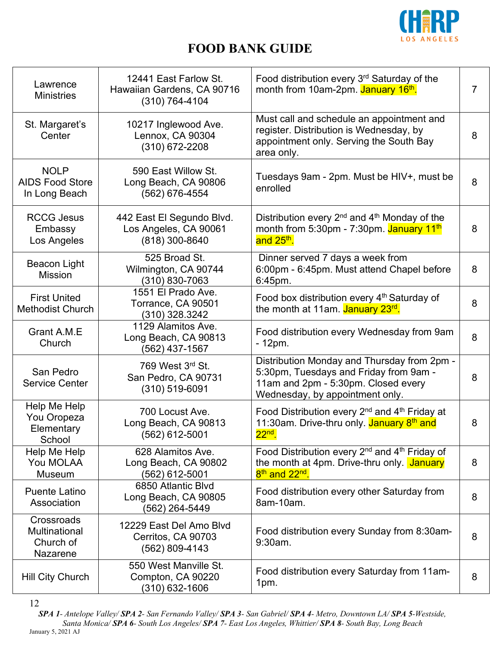

| Lawrence<br><b>Ministries</b>                          | 12441 East Farlow St.<br>Hawaiian Gardens, CA 90716<br>$(310) 764 - 4104$ | Food distribution every 3 <sup>rd</sup> Saturday of the<br>month from 10am-2pm. January 16 <sup>th</sup> .                                                      | 7 |
|--------------------------------------------------------|---------------------------------------------------------------------------|-----------------------------------------------------------------------------------------------------------------------------------------------------------------|---|
| St. Margaret's<br>Center                               | 10217 Inglewood Ave.<br>Lennox, CA 90304<br>$(310)$ 672-2208              | Must call and schedule an appointment and<br>register. Distribution is Wednesday, by<br>appointment only. Serving the South Bay<br>area only.                   | 8 |
| <b>NOLP</b><br><b>AIDS Food Store</b><br>In Long Beach | 590 East Willow St.<br>Long Beach, CA 90806<br>(562) 676-4554             | Tuesdays 9am - 2pm. Must be HIV+, must be<br>enrolled                                                                                                           | 8 |
| <b>RCCG Jesus</b><br>Embassy<br>Los Angeles            | 442 East El Segundo Blvd.<br>Los Angeles, CA 90061<br>(818) 300-8640      | Distribution every 2 <sup>nd</sup> and 4 <sup>th</sup> Monday of the<br>month from 5:30pm - 7:30pm. January 11 <sup>th</sup><br>and 25 <sup>th</sup> .          | 8 |
| <b>Beacon Light</b><br><b>Mission</b>                  | 525 Broad St.<br>Wilmington, CA 90744<br>(310) 830-7063                   | Dinner served 7 days a week from<br>6:00pm - 6:45pm. Must attend Chapel before<br>6:45pm.                                                                       | 8 |
| <b>First United</b><br><b>Methodist Church</b>         | 1551 El Prado Ave.<br>Torrance, CA 90501<br>(310) 328.3242                | Food box distribution every 4 <sup>th</sup> Saturday of<br>the month at 11am. January 23 <sup>rd</sup> .                                                        | 8 |
| Grant A.M.E<br>Church                                  | 1129 Alamitos Ave.<br>Long Beach, CA 90813<br>(562) 437-1567              | Food distribution every Wednesday from 9am<br>- 12pm.                                                                                                           | 8 |
| San Pedro<br><b>Service Center</b>                     | 769 West 3rd St.<br>San Pedro, CA 90731<br>$(310) 519 - 6091$             | Distribution Monday and Thursday from 2pm -<br>5:30pm, Tuesdays and Friday from 9am -<br>11am and 2pm - 5:30pm. Closed every<br>Wednesday, by appointment only. | 8 |
| Help Me Help<br>You Oropeza<br>Elementary<br>School    | 700 Locust Ave.<br>Long Beach, CA 90813<br>$(562)$ 612-5001               | Food Distribution every 2 <sup>nd</sup> and 4 <sup>th</sup> Friday at<br>11:30am. Drive-thru only. January 8 <sup>th</sup> and<br>$22nd$ .                      | 8 |
| Help Me Help<br>You MOLAA<br>Museum                    | 628 Alamitos Ave.<br>Long Beach, CA 90802<br>(562) 612-5001               | Food Distribution every 2 <sup>nd</sup> and 4 <sup>th</sup> Friday of<br>the month at 4pm. Drive-thru only. January<br>8 <sup>th</sup> and 22 <sup>nd</sup> .   | 8 |
| <b>Puente Latino</b><br>Association                    | 6850 Atlantic Blvd<br>Long Beach, CA 90805<br>(562) 264-5449              | Food distribution every other Saturday from<br>8am-10am.                                                                                                        | 8 |
| Crossroads<br>Multinational<br>Church of<br>Nazarene   | 12229 East Del Amo Blvd<br>Cerritos, CA 90703<br>(562) 809-4143           | Food distribution every Sunday from 8:30am-<br>9:30am.                                                                                                          | 8 |
| Hill City Church                                       | 550 West Manville St.<br>Compton, CA 90220<br>(310) 632-1606              | Food distribution every Saturday from 11am-<br>1pm.                                                                                                             | 8 |

12

*SPA 1- Antelope Valley/ SPA 2- San Fernando Valley/ SPA 3- San Gabriel/ SPA 4- Metro, Downtown LA/ SPA 5-Westside, Santa Monica/ SPA 6- South Los Angeles/ SPA 7- East Los Angeles, Whittier/ SPA 8- South Bay, Long Beach* January 5, 2021 AJ